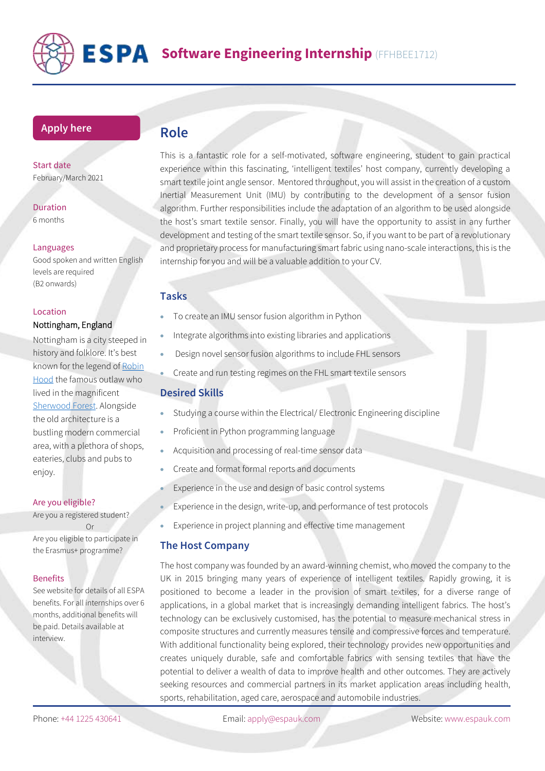

## **[Apply](https://www.espauk.com/students/student-application/) here**

Start date February/March 2021

Duration 6 months

#### Languages

Good spoken and written English levels are required (B2 onwards)

#### Location

### Nottingham, England

Nottingham is a city steeped in history and folklore. It's best known for the legend o[f Robin](https://www.boldoutlaw.com/robbeg/)  [Hood](https://www.boldoutlaw.com/robbeg/) the famous outlaw who lived in the magnificent [Sherwood Forest.](https://www.visitsherwood.co.uk/) Alongside the old architecture is a bustling modern commercial area, with a plethora of shops, eateries, clubs and pubs to enjoy.

#### Are you eligible?

Are you a registered student? Or Are you eligible to participate in the Erasmus+ programme?

#### Benefits

See website for details of all ESPA benefits. For all internships over 6 months, additional benefits will be paid. Details available at interview.

# **Role**

This is a fantastic role for a self-motivated, software engineering, student to gain practical experience within this fascinating, 'intelligent textiles' host company, currently developing a smart textile joint angle sensor. Mentored throughout, you will assist in the creation of a custom Inertial Measurement Unit (IMU) by contributing to the development of a sensor fusion algorithm. Further responsibilities include the adaptation of an algorithm to be used alongside the host's smart textile sensor. Finally, you will have the opportunity to assist in any further development and testing of the smart textile sensor. So, if you want to be part of a revolutionary and proprietary process for manufacturing smart fabric using nano-scale interactions, this is the internship for you and will be a valuable addition to your CV.

## **Tasks**

- To create an IMU sensor fusion algorithm in Python
- Integrate algorithms into existing libraries and applications
- Design novel sensor fusion algorithms to include FHL sensors
- Create and run testing regimes on the FHL smart textile sensors

#### **Desired Skills**

- Studying a course within the Electrical/ Electronic Engineering discipline
- Proficient in Python programming language
- Acquisition and processing of real-time sensor data
- Create and format formal reports and documents
- Experience in the use and design of basic control systems
- Experience in the design, write-up, and performance of test protocols
- Experience in project planning and effective time management

## **The Host Company**

The host company was founded by an award-winning chemist, who moved the company to the UK in 2015 bringing many years of experience of intelligent textiles. Rapidly growing, it is positioned to become a leader in the provision of smart textiles, for a diverse range of applications, in a global market that is increasingly demanding intelligent fabrics. The host's technology can be exclusively customised, has the potential to measure mechanical stress in composite structures and currently measures tensile and compressive forces and temperature. With additional functionality being explored, their technology provides new opportunities and creates uniquely durable, safe and comfortable fabrics with sensing textiles that have the potential to deliver a wealth of data to improve health and other outcomes. They are actively seeking resources and commercial partners in its market application areas including health, sports, rehabilitation, aged care, aerospace and automobile industries.